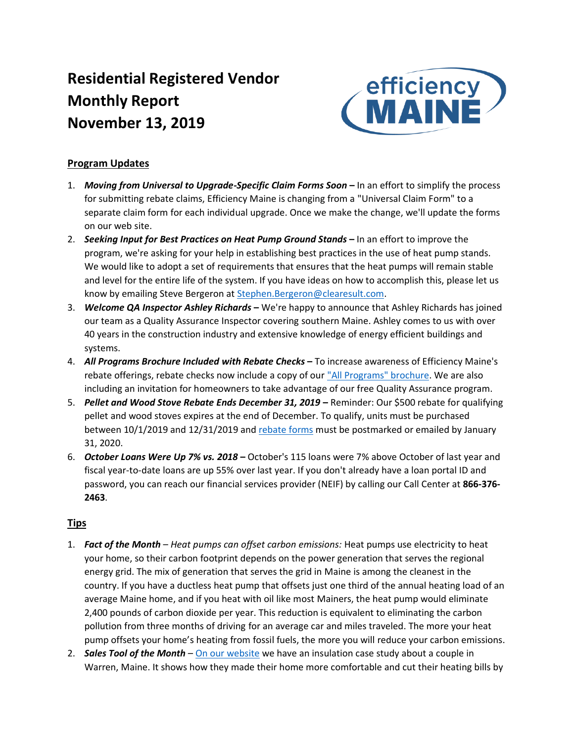# **Residential Registered Vendor Monthly Report November 13, 2019**



## **Program Updates**

- 1. *Moving from Universal to Upgrade-Specific Claim Forms Soon* **–** In an effort to simplify the process for submitting rebate claims, Efficiency Maine is changing from a "Universal Claim Form" to a separate claim form for each individual upgrade. Once we make the change, we'll update the forms on our web site.
- 2. *Seeking Input for Best Practices on Heat Pump Ground Stands* **–** In an effort to improve the program, we're asking for your help in establishing best practices in the use of heat pump stands. We would like to adopt a set of requirements that ensures that the heat pumps will remain stable and level for the entire life of the system. If you have ideas on how to accomplish this, please let us know by emailing Steve Bergeron at [Stephen.Bergeron@clearesult.com.](mailto:Stephen.Bergeron@clearesult.com?subject=Heat%20Pump%20Ground%20Stand%20Best%20Practice%20Feedback)
- 3. *Welcome QA Inspector Ashley Richards* **–** We're happy to announce that Ashley Richards has joined our team as a Quality Assurance Inspector covering southern Maine. Ashley comes to us with over 40 years in the construction industry and extensive knowledge of energy efficient buildings and systems.
- 4. *All Programs Brochure Included with Rebate Checks* **–** To increase awareness of Efficiency Maine's rebate offerings, rebate checks now include a copy of our ["All Programs" brochure.](https://www.efficiencymaine.com/docs/All-Programs-Brochure.pdf) We are also including an invitation for homeowners to take advantage of our free Quality Assurance program.
- 5. *Pellet and Wood Stove Rebate Ends December 31, 2019* **–** Reminder: Our \$500 rebate for qualifying pellet and wood stoves expires at the end of December. To qualify, units must be purchased between 10/1/2019 and 12/31/2019 and [rebate forms](https://www.efficiencymaine.com/docs/EM-Pellet-and-Wood-Stove-Rebate.pdf#page=2) must be postmarked or emailed by January 31, 2020.
- 6. *October Loans Were Up 7% vs. 2018* **–** October's 115 loans were 7% above October of last year and fiscal year-to-date loans are up 55% over last year. If you don't already have a loan portal ID and password, you can reach our financial services provider (NEIF) by calling our Call Center at **866-376- 2463**.

## **Tips**

- 1. *Fact of the Month Heat pumps can offset carbon emissions:* Heat pumps use electricity to heat your home, so their carbon footprint depends on the power generation that serves the regional energy grid. The mix of generation that serves the grid in Maine is among the cleanest in the country. If you have a ductless heat pump that offsets just one third of the annual heating load of an average Maine home, and if you heat with oil like most Mainers, the heat pump would eliminate 2,400 pounds of carbon dioxide per year. This reduction is equivalent to eliminating the carbon pollution from three months of driving for an average car and miles traveled. The more your heat pump offsets your home's heating from fossil fuels, the more you will reduce your carbon emissions.
- 2. *Sales Tool of the Month* [On our website](https://www.efficiencymaine.com/docs/HomeComfortCaseStudy.pdf) we have an insulation case study about a couple in Warren, Maine. It shows how they made their home more comfortable and cut their heating bills by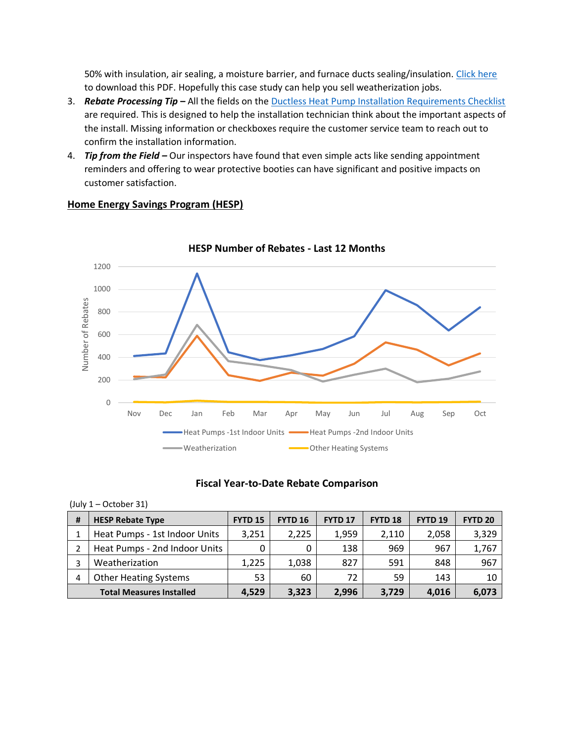50% with insulation, air sealing, a moisture barrier, and furnace ducts sealing/insulation. [Click here](https://www.efficiencymaine.com/docs/HomeComfortCaseStudy.pdf) to download this PDF. Hopefully this case study can help you sell weatherization jobs.

- 3. *Rebate Processing Tip* **–** All the fields on the [Ductless Heat Pump Installation Requirements Checklist](https://www.efficiencymaine.com/docs/Ductless-Heat-Pump-Installation-Checklist.pdf) are required. This is designed to help the installation technician think about the important aspects of the install. Missing information or checkboxes require the customer service team to reach out to confirm the installation information.
- 4. *Tip from the Field –* Our inspectors have found that even simple acts like sending appointment reminders and offering to wear protective booties can have significant and positive impacts on customer satisfaction.



### **Home Energy Savings Program (HESP)**

#### **Fiscal Year-to-Date Rebate Comparison**

|  | (July 1 - October 31) |  |
|--|-----------------------|--|
|--|-----------------------|--|

| # | <b>HESP Rebate Type</b>         | <b>FYTD 15</b> | <b>FYTD 16</b> | <b>FYTD 17</b> | <b>FYTD 18</b> | <b>FYTD 19</b> | <b>FYTD 20</b> |
|---|---------------------------------|----------------|----------------|----------------|----------------|----------------|----------------|
|   | Heat Pumps - 1st Indoor Units   | 3,251          | 2,225          | 1,959          | 2,110          | 2,058          | 3,329          |
|   | Heat Pumps - 2nd Indoor Units   |                |                | 138            | 969            | 967            | 1,767          |
|   | Weatherization                  | 1,225          | 1,038          | 827            | 591            | 848            | 967            |
| 4 | <b>Other Heating Systems</b>    | 53             | 60             | 72             | 59             | 143            | 10             |
|   | <b>Total Measures Installed</b> | 4,529          | 3,323          | 2,996          | 3,729          | 4,016          | 6,073          |